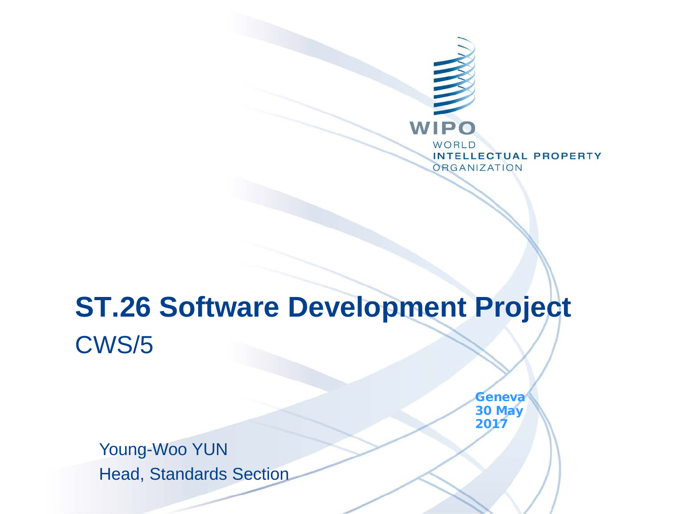

#### **ST.26 Software Development Project** CWS/5

Young-Woo YUN Head, Standards Section **Geneva** 30 May 2017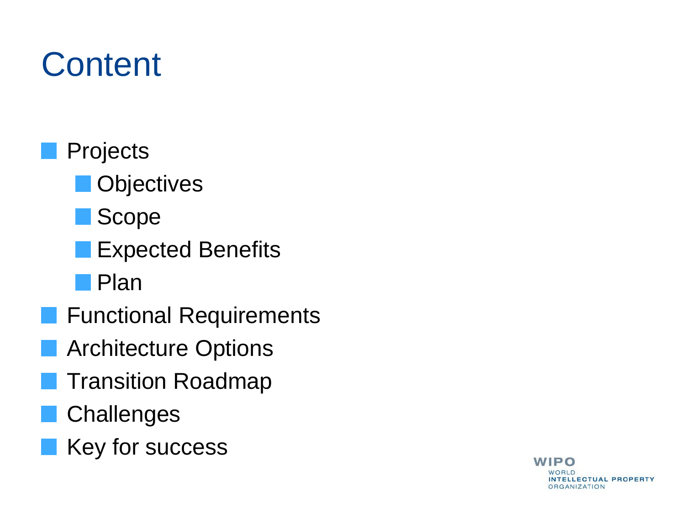## **Content**

- **Projects** 
	- **Objectives**
	- **Scope**
	- Expected Benefits
	- Plan
- **Functional Requirements** 
	- Architecture Options
	- Transition Roadmap
- **Challenges**
- Key for success

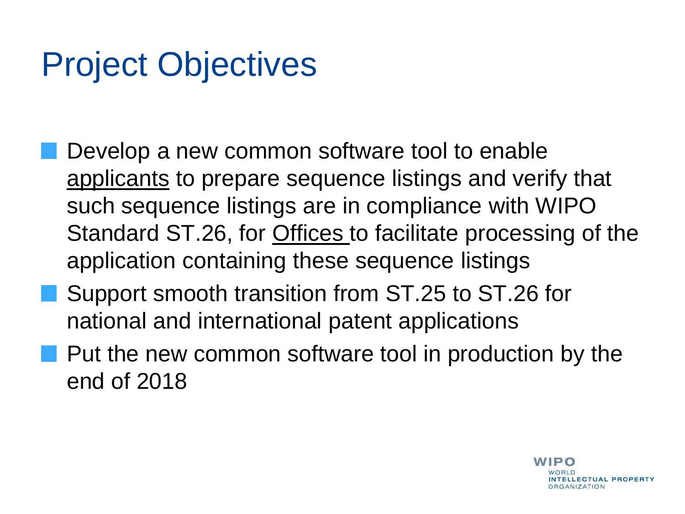## Project Objectives

- Develop a new common software tool to enable applicants to prepare sequence listings and verify that such sequence listings are in compliance with WIPO Standard ST.26, for Offices to facilitate processing of the application containing these sequence listings
- **Support smooth transition from ST.25 to ST.26 for** national and international patent applications
- **Put the new common software tool in production by the** end of 2018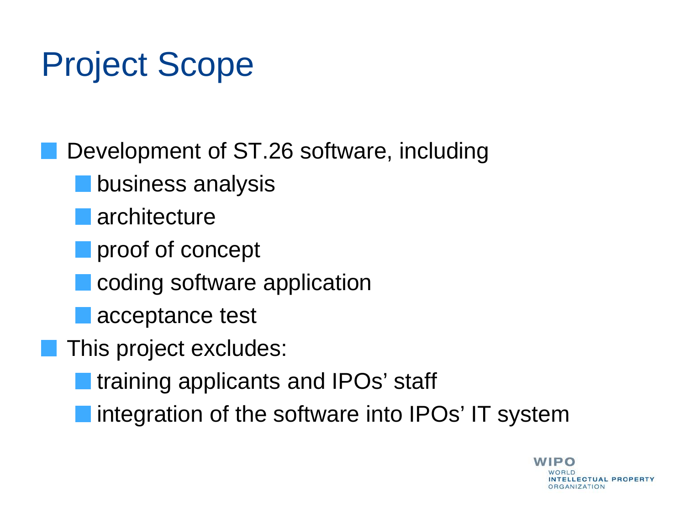#### Project Scope

Development of ST.26 software, including business analysis **architecture proof of concept** coding software application acceptance test This project excludes: training applicants and IPOs' staff I integration of the software into IPOs' IT system

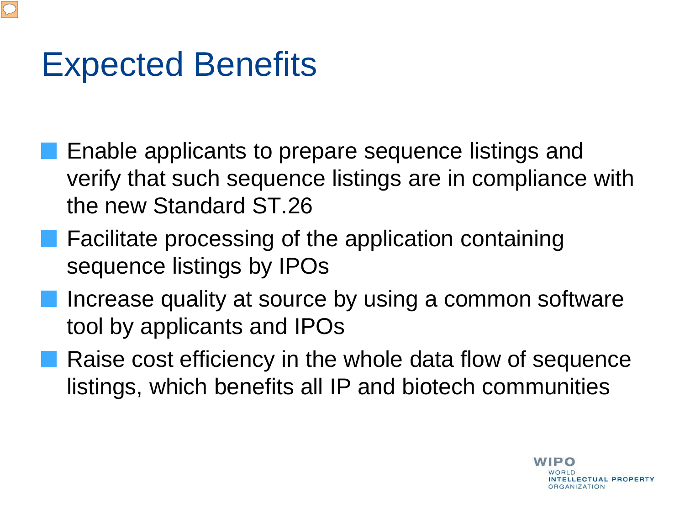#### Expected Benefits

- Enable applicants to prepare sequence listings and verify that such sequence listings are in compliance with the new Standard ST.26
- **Facilitate processing of the application containing** sequence listings by IPOs
- Increase quality at source by using a common software tool by applicants and IPOs
- **Raise cost efficiency in the whole data flow of sequence** listings, which benefits all IP and biotech communities

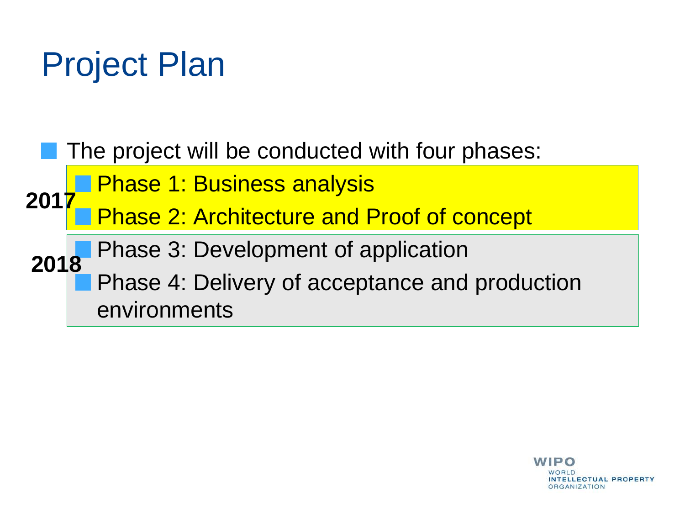### Project Plan



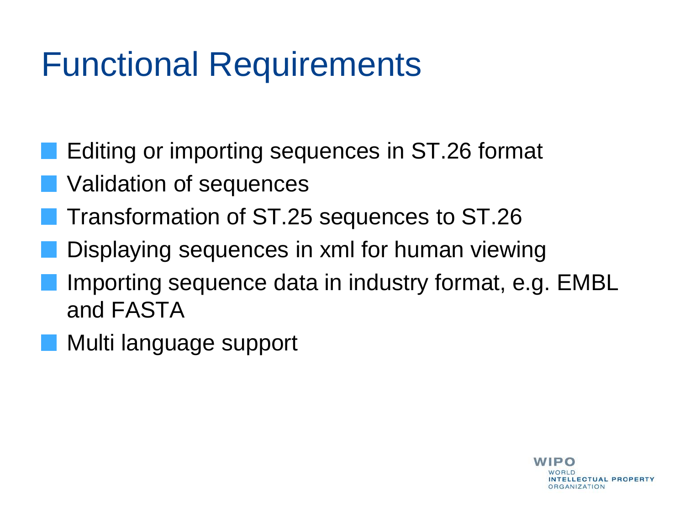#### Functional Requirements

- Editing or importing sequences in ST.26 format
- **Validation of sequences**
- Transformation of ST.25 sequences to ST.26
- Displaying sequences in xml for human viewing
- Importing sequence data in industry format, e.g. EMBL and FASTA
- Multi language support

**WIPO NTELLECTUAL PROPERTY DRGANIZATION**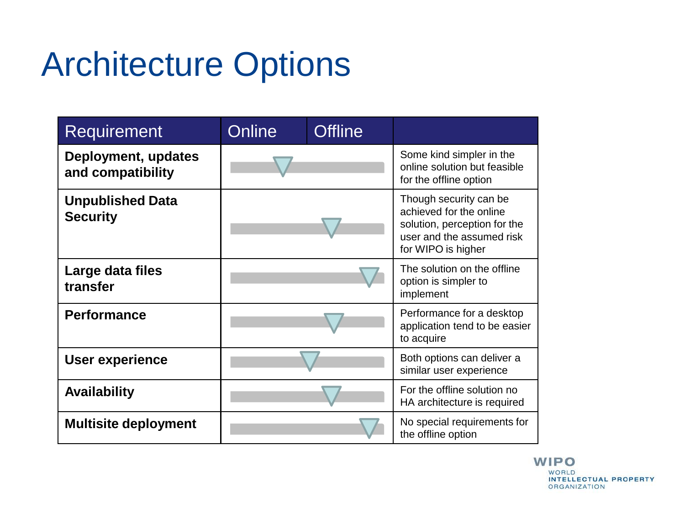## Architecture Options

| Requirement                                | Online | <b>Offline</b> |                                                                                                                                      |  |
|--------------------------------------------|--------|----------------|--------------------------------------------------------------------------------------------------------------------------------------|--|
| Deployment, updates<br>and compatibility   |        |                | Some kind simpler in the<br>online solution but feasible<br>for the offline option                                                   |  |
| <b>Unpublished Data</b><br><b>Security</b> |        |                | Though security can be<br>achieved for the online<br>solution, perception for the<br>user and the assumed risk<br>for WIPO is higher |  |
| Large data files<br>transfer               |        |                | The solution on the offline<br>option is simpler to<br>implement                                                                     |  |
| <b>Performance</b>                         |        |                | Performance for a desktop<br>application tend to be easier<br>to acquire                                                             |  |
| <b>User experience</b>                     |        |                | Both options can deliver a<br>similar user experience                                                                                |  |
| <b>Availability</b>                        |        |                | For the offline solution no<br>HA architecture is required                                                                           |  |
| <b>Multisite deployment</b>                |        |                | No special requirements for<br>the offline option                                                                                    |  |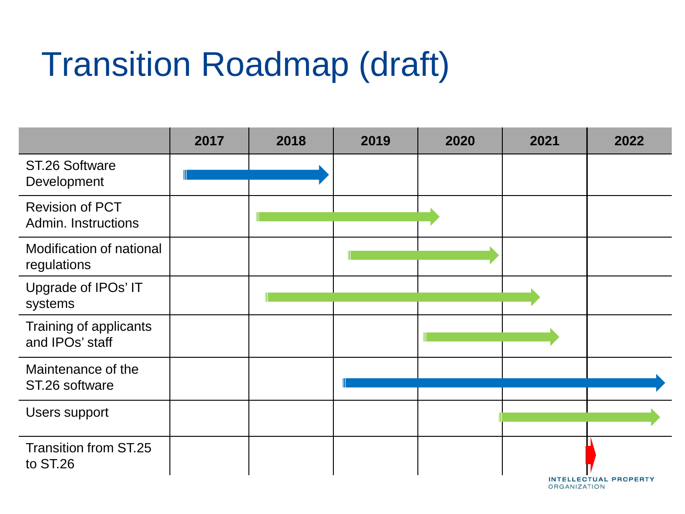## Transition Roadmap (draft)

|                                               | 2017 | 2018 | 2019 | 2020 | 2021 | 2022                         |
|-----------------------------------------------|------|------|------|------|------|------------------------------|
| ST.26 Software<br>Development                 |      |      |      |      |      |                              |
| <b>Revision of PCT</b><br>Admin. Instructions |      |      |      |      |      |                              |
| Modification of national<br>regulations       |      |      |      |      |      |                              |
| Upgrade of IPOs' IT<br>systems                |      |      |      |      |      |                              |
| Training of applicants<br>and IPOs' staff     |      |      |      |      |      |                              |
| Maintenance of the<br>ST.26 software          |      |      |      |      |      |                              |
| Users support                                 |      |      |      |      |      |                              |
| <b>Transition from ST.25</b><br>to ST.26      |      |      |      |      |      | <b>INTELLECTUAL PROPERTY</b> |

**ORGANIZATION**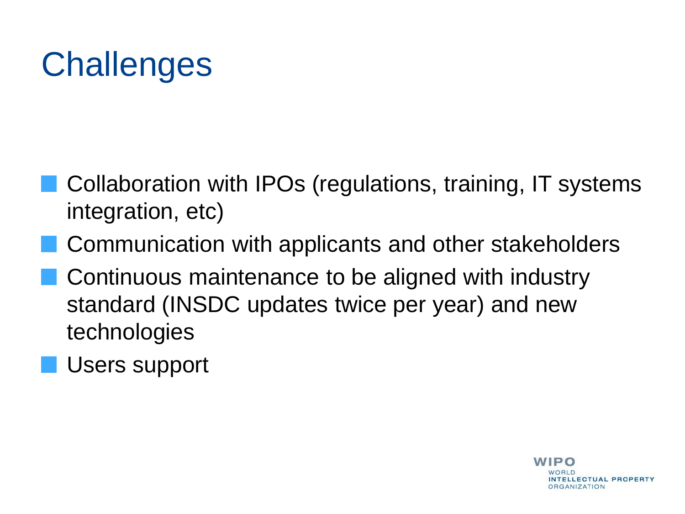# **Challenges**

- Collaboration with IPOs (regulations, training, IT systems integration, etc)
- Communication with applicants and other stakeholders
- Continuous maintenance to be aligned with industry standard (INSDC updates twice per year) and new technologies
- **Users support**

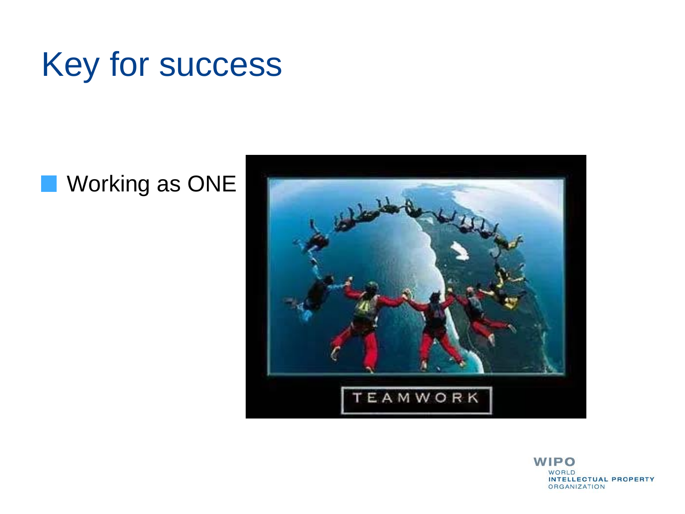

#### **Norking as ONE**



**WIPO WORLD INTELLECTUAL PROPERTY ORGANIZATION**